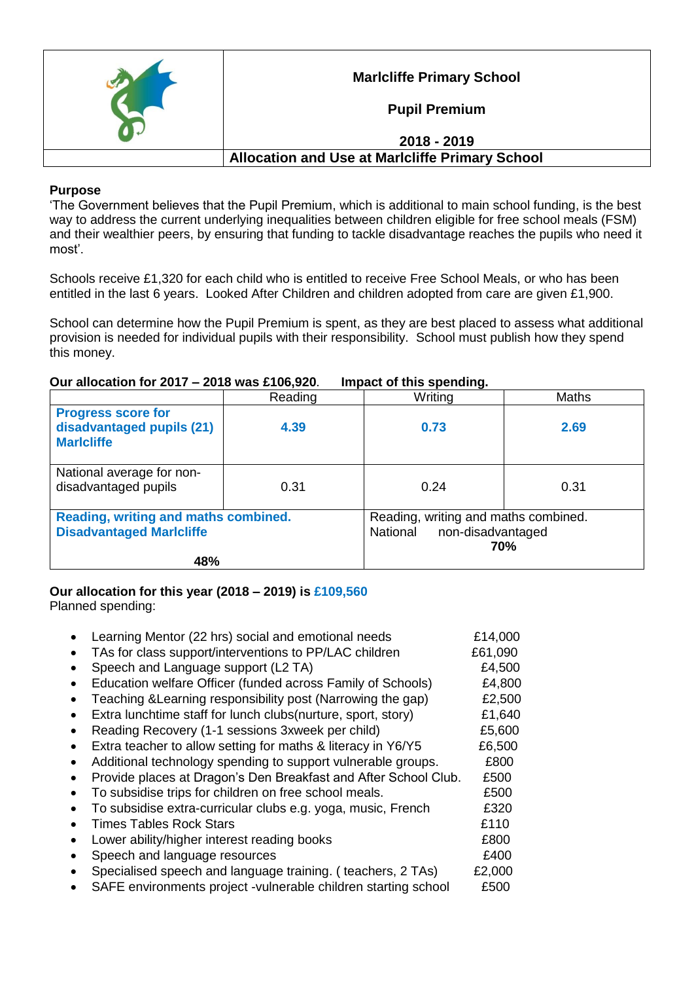

**Marlcliffe Primary School**

**Pupil Premium**

## **2018 - 2019**

## **Allocation and Use at Marlcliffe Primary School**

#### **Purpose**

'The Government believes that the Pupil Premium, which is additional to main school funding, is the best way to address the current underlying inequalities between children eligible for free school meals (FSM) and their wealthier peers, by ensuring that funding to tackle disadvantage reaches the pupils who need it most'.

Schools receive £1,320 for each child who is entitled to receive Free School Meals, or who has been entitled in the last 6 years. Looked After Children and children adopted from care are given £1,900.

School can determine how the Pupil Premium is spent, as they are best placed to assess what additional provision is needed for individual pupils with their responsibility. School must publish how they spend this money.

### **Our allocation for 2017 – 2018 was £106,920**. **Impact of this spending.**

|                                                                                | Reading | Writing                                                                      | <b>Maths</b> |
|--------------------------------------------------------------------------------|---------|------------------------------------------------------------------------------|--------------|
| <b>Progress score for</b><br>disadvantaged pupils (21)<br><b>Maricliffe</b>    | 4.39    | 0.73                                                                         | 2.69         |
| National average for non-<br>disadvantaged pupils                              | 0.31    | 0.24                                                                         | 0.31         |
| Reading, writing and maths combined.<br><b>Disadvantaged Marlcliffe</b><br>48% |         | Reading, writing and maths combined.<br>National<br>non-disadvantaged<br>70% |              |

# **Our allocation for this year (2018 – 2019) is £109,560**

Planned spending:

|           | Learning Mentor (22 hrs) social and emotional needs             | £14,000 |
|-----------|-----------------------------------------------------------------|---------|
|           | TAs for class support/interventions to PP/LAC children          | £61,090 |
|           | Speech and Language support (L2 TA)                             | £4,500  |
|           | Education welfare Officer (funded across Family of Schools)     | £4,800  |
|           | Teaching & Learning responsibility post (Narrowing the gap)     | £2,500  |
|           | Extra lunchtime staff for lunch clubs(nurture, sport, story)    | £1,640  |
| $\bullet$ | Reading Recovery (1-1 sessions 3xweek per child)                | £5,600  |
|           | Extra teacher to allow setting for maths & literacy in Y6/Y5    | £6,500  |
|           | Additional technology spending to support vulnerable groups.    | £800    |
|           | Provide places at Dragon's Den Breakfast and After School Club. | £500    |
|           | To subsidise trips for children on free school meals.           | £500    |
|           | To subsidise extra-curricular clubs e.g. yoga, music, French    | £320    |
|           | <b>Times Tables Rock Stars</b>                                  | £110    |
|           | Lower ability/higher interest reading books                     | £800    |
|           | Speech and language resources                                   | £400    |
|           | Specialised speech and language training. (teachers, 2 TAs)     | £2,000  |
|           | SAFE environments project -vulnerable children starting school  | £500    |
|           |                                                                 |         |